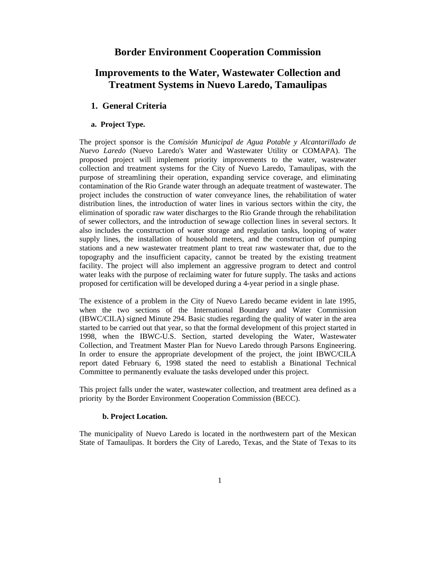# **Border Environment Cooperation Commission**

# **Improvements to the Water, Wastewater Collection and Treatment Systems in Nuevo Laredo, Tamaulipas**

# **1. General Criteria**

# **a. Project Type.**

The project sponsor is the *Comisión Municipal de Agua Potable y Alcantarillado de Nuevo Laredo* (Nuevo Laredo's Water and Wastewater Utility or COMAPA). The proposed project will implement priority improvements to the water, wastewater collection and treatment systems for the City of Nuevo Laredo, Tamaulipas, with the purpose of streamlining their operation, expanding service coverage, and eliminating contamination of the Rio Grande water through an adequate treatment of wastewater. The project includes the construction of water conveyance lines, the rehabilitation of water distribution lines, the introduction of water lines in various sectors within the city, the elimination of sporadic raw water discharges to the Rio Grande through the rehabilitation of sewer collectors, and the introduction of sewage collection lines in several sectors. It also includes the construction of water storage and regulation tanks, looping of water supply lines, the installation of household meters, and the construction of pumping stations and a new wastewater treatment plant to treat raw wastewater that, due to the topography and the insufficient capacity, cannot be treated by the existing treatment facility. The project will also implement an aggressive program to detect and control water leaks with the purpose of reclaiming water for future supply. The tasks and actions proposed for certification will be developed during a 4-year period in a single phase.

The existence of a problem in the City of Nuevo Laredo became evident in late 1995, when the two sections of the International Boundary and Water Commission (IBWC/CILA) signed Minute 294. Basic studies regarding the quality of water in the area started to be carried out that year, so that the formal development of this project started in 1998, when the IBWC-U.S. Section, started developing the Water, Wastewater Collection, and Treatment Master Plan for Nuevo Laredo through Parsons Engineering. In order to ensure the appropriate development of the project, the joint IBWC/CILA report dated February 6, 1998 stated the need to establish a Binational Technical Committee to permanently evaluate the tasks developed under this project.

This project falls under the water, wastewater collection, and treatment area defined as a priority by the Border Environment Cooperation Commission (BECC).

### **b. Project Location.**

The municipality of Nuevo Laredo is located in the northwestern part of the Mexican State of Tamaulipas. It borders the City of Laredo, Texas, and the State of Texas to its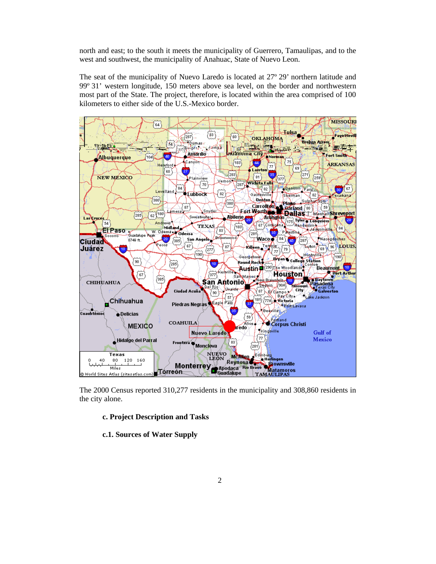north and east; to the south it meets the municipality of Guerrero, Tamaulipas, and to the west and southwest, the municipality of Anahuac, State of Nuevo Leon.

The seat of the municipality of Nuevo Laredo is located at 27º 29' northern latitude and 99º 31' western longitude, 150 meters above sea level, on the border and northwestern most part of the State. The project, therefore, is located within the area comprised of 100 kilometers to either side of the U.S.-Mexico border.



The 2000 Census reported 310,277 residents in the municipality and 308,860 residents in the city alone.

### **c. Project Description and Tasks**

### **c.1. Sources of Water Supply**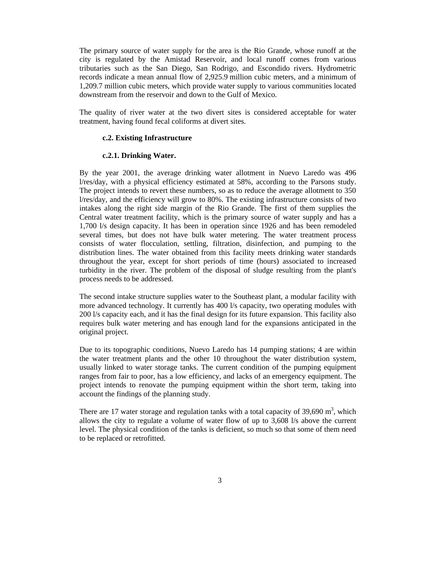The primary source of water supply for the area is the Rio Grande, whose runoff at the city is regulated by the Amistad Reservoir, and local runoff comes from various tributaries such as the San Diego, San Rodrigo, and Escondido rivers. Hydrometric records indicate a mean annual flow of 2,925.9 million cubic meters, and a minimum of 1,209.7 million cubic meters, which provide water supply to various communities located downstream from the reservoir and down to the Gulf of Mexico.

The quality of river water at the two divert sites is considered acceptable for water treatment, having found fecal coliforms at divert sites.

### **c.2. Existing Infrastructure**

### **c.2.1. Drinking Water.**

By the year 2001, the average drinking water allotment in Nuevo Laredo was 496 l/res/day, with a physical efficiency estimated at 58%, according to the Parsons study. The project intends to revert these numbers, so as to reduce the average allotment to 350 l/res/day, and the efficiency will grow to 80%. The existing infrastructure consists of two intakes along the right side margin of the Rio Grande. The first of them supplies the Central water treatment facility, which is the primary source of water supply and has a 1,700 l/s design capacity. It has been in operation since 1926 and has been remodeled several times, but does not have bulk water metering. The water treatment process consists of water flocculation, settling, filtration, disinfection, and pumping to the distribution lines. The water obtained from this facility meets drinking water standards throughout the year, except for short periods of time (hours) associated to increased turbidity in the river. The problem of the disposal of sludge resulting from the plant's process needs to be addressed.

The second intake structure supplies water to the Southeast plant, a modular facility with more advanced technology. It currently has 400 l/s capacity, two operating modules with 200 l/s capacity each, and it has the final design for its future expansion. This facility also requires bulk water metering and has enough land for the expansions anticipated in the original project.

Due to its topographic conditions, Nuevo Laredo has 14 pumping stations; 4 are within the water treatment plants and the other 10 throughout the water distribution system, usually linked to water storage tanks. The current condition of the pumping equipment ranges from fair to poor, has a low efficiency, and lacks of an emergency equipment. The project intends to renovate the pumping equipment within the short term, taking into account the findings of the planning study.

There are 17 water storage and regulation tanks with a total capacity of 39,690  $m<sup>3</sup>$ , which allows the city to regulate a volume of water flow of up to 3,608 l/s above the current level. The physical condition of the tanks is deficient, so much so that some of them need to be replaced or retrofitted.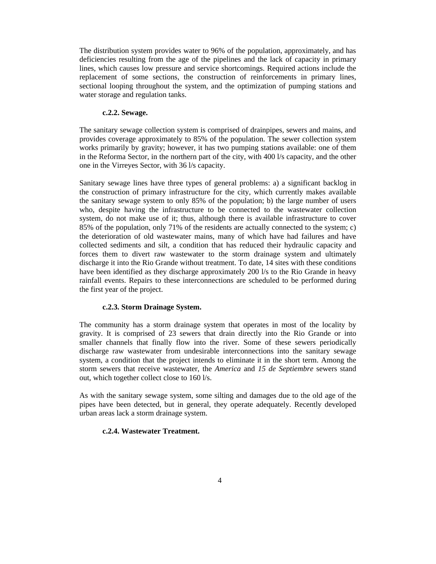The distribution system provides water to 96% of the population, approximately, and has deficiencies resulting from the age of the pipelines and the lack of capacity in primary lines, which causes low pressure and service shortcomings. Required actions include the replacement of some sections, the construction of reinforcements in primary lines, sectional looping throughout the system, and the optimization of pumping stations and water storage and regulation tanks.

### **c.2.2. Sewage.**

The sanitary sewage collection system is comprised of drainpipes, sewers and mains, and provides coverage approximately to 85% of the population. The sewer collection system works primarily by gravity; however, it has two pumping stations available: one of them in the Reforma Sector, in the northern part of the city, with 400 l/s capacity, and the other one in the Virreyes Sector, with 36 l/s capacity.

Sanitary sewage lines have three types of general problems: a) a significant backlog in the construction of primary infrastructure for the city, which currently makes available the sanitary sewage system to only 85% of the population; b) the large number of users who, despite having the infrastructure to be connected to the wastewater collection system, do not make use of it; thus, although there is available infrastructure to cover 85% of the population, only 71% of the residents are actually connected to the system; c) the deterioration of old wastewater mains, many of which have had failures and have collected sediments and silt, a condition that has reduced their hydraulic capacity and forces them to divert raw wastewater to the storm drainage system and ultimately discharge it into the Rio Grande without treatment. To date, 14 sites with these conditions have been identified as they discharge approximately 200 l/s to the Rio Grande in heavy rainfall events. Repairs to these interconnections are scheduled to be performed during the first year of the project.

### **c.2.3. Storm Drainage System.**

The community has a storm drainage system that operates in most of the locality by gravity. It is comprised of 23 sewers that drain directly into the Rio Grande or into smaller channels that finally flow into the river. Some of these sewers periodically discharge raw wastewater from undesirable interconnections into the sanitary sewage system, a condition that the project intends to eliminate it in the short term. Among the storm sewers that receive wastewater, the *America* and *15 de Septiembre* sewers stand out, which together collect close to 160 l/s.

As with the sanitary sewage system, some silting and damages due to the old age of the pipes have been detected, but in general, they operate adequately. Recently developed urban areas lack a storm drainage system.

# **c.2.4. Wastewater Treatment.**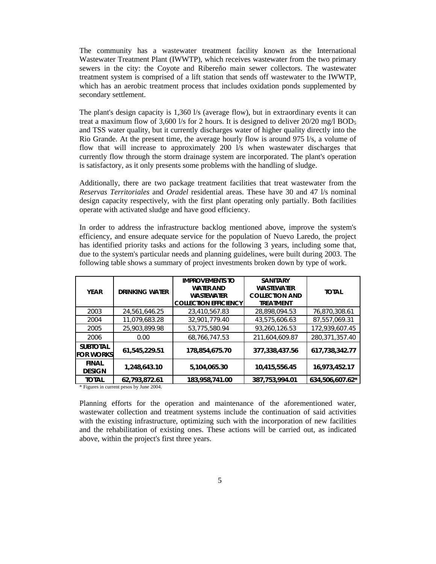The community has a wastewater treatment facility known as the International Wastewater Treatment Plant (IWWTP), which receives wastewater from the two primary sewers in the city: the Coyote and Ribereño main sewer collectors. The wastewater treatment system is comprised of a lift station that sends off wastewater to the IWWTP, which has an aerobic treatment process that includes oxidation ponds supplemented by secondary settlement.

The plant's design capacity is 1,360 l/s (average flow), but in extraordinary events it can treat a maximum flow of 3,600 l/s for 2 hours. It is designed to deliver  $20/20$  mg/l BOD<sub>5</sub> and TSS water quality, but it currently discharges water of higher quality directly into the Rio Grande. At the present time, the average hourly flow is around 975 l/s, a volume of flow that will increase to approximately 200 l/s when wastewater discharges that currently flow through the storm drainage system are incorporated. The plant's operation is satisfactory, as it only presents some problems with the handling of sludge.

Additionally, there are two package treatment facilities that treat wastewater from the *Reservas Territoriales* and *Oradel* residential areas. These have 30 and 47 l/s nominal design capacity respectively, with the first plant operating only partially. Both facilities operate with activated sludge and have good efficiency.

In order to address the infrastructure backlog mentioned above, improve the system's efficiency, and ensure adequate service for the population of Nuevo Laredo, the project has identified priority tasks and actions for the following 3 years, including some that, due to the system's particular needs and planning guidelines, were built during 2003. The following table shows a summary of project investments broken down by type of work.

| <b>YFAR</b>                         | <b>DRINKING WATER</b> | <b>IMPROVEMENTS TO</b><br><b>WATER AND</b><br><b>WASTEWATER</b><br><b>COLLECTION EFFICIENCY</b> | <b>SANITARY</b><br><b>WASTEWATER</b><br><b>COLLECTION AND</b><br><b>TREATMENT</b> | <b>TOTAL</b>    |
|-------------------------------------|-----------------------|-------------------------------------------------------------------------------------------------|-----------------------------------------------------------------------------------|-----------------|
| 2003                                | 24,561,646.25         | 23,410,567.83                                                                                   | 28.898.094.53                                                                     | 76,870,308.61   |
| 2004                                | 11,079,683.28         | 32,901,779.40                                                                                   | 43,575,606.63                                                                     | 87,557,069.31   |
| 2005                                | 25,903,899.98         | 53,775,580.94                                                                                   | 93,260,126.53                                                                     | 172,939,607.45  |
| 2006                                | 0.00                  | 68,766,747.53                                                                                   | 211,604,609.87                                                                    | 280,371,357.40  |
| <b>SUBTOTAL</b><br><b>FOR WORKS</b> | 61,545,229.51         | 178,854,675.70                                                                                  | 377,338,437.56                                                                    | 617,738,342.77  |
| <b>FINAL</b><br><b>DESIGN</b>       | 1,248,643.10          | 5.104.065.30                                                                                    | 10,415,556.45                                                                     | 16,973,452.17   |
| <b>TOTAL</b>                        | 62.793.872.61         | 183.958.741.00                                                                                  | 387,753,994.01                                                                    | 634.506.607.62* |

\* Figures in current pesos by June 2004.

Planning efforts for the operation and maintenance of the aforementioned water, wastewater collection and treatment systems include the continuation of said activities with the existing infrastructure, optimizing such with the incorporation of new facilities and the rehabilitation of existing ones. These actions will be carried out, as indicated above, within the project's first three years.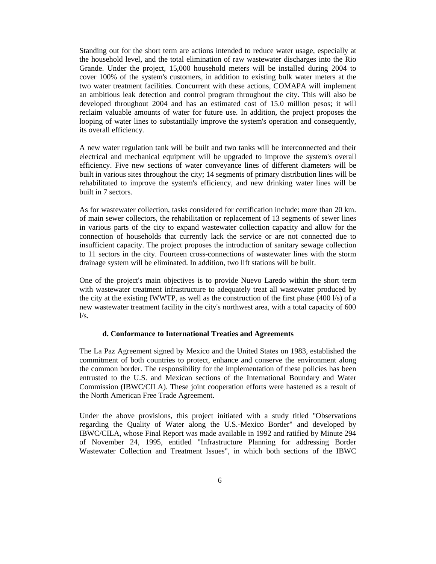Standing out for the short term are actions intended to reduce water usage, especially at the household level, and the total elimination of raw wastewater discharges into the Rio Grande. Under the project, 15,000 household meters will be installed during 2004 to cover 100% of the system's customers, in addition to existing bulk water meters at the two water treatment facilities. Concurrent with these actions, COMAPA will implement an ambitious leak detection and control program throughout the city. This will also be developed throughout 2004 and has an estimated cost of 15.0 million pesos; it will reclaim valuable amounts of water for future use. In addition, the project proposes the looping of water lines to substantially improve the system's operation and consequently, its overall efficiency.

A new water regulation tank will be built and two tanks will be interconnected and their electrical and mechanical equipment will be upgraded to improve the system's overall efficiency. Five new sections of water conveyance lines of different diameters will be built in various sites throughout the city; 14 segments of primary distribution lines will be rehabilitated to improve the system's efficiency, and new drinking water lines will be built in 7 sectors.

As for wastewater collection, tasks considered for certification include: more than 20 km. of main sewer collectors, the rehabilitation or replacement of 13 segments of sewer lines in various parts of the city to expand wastewater collection capacity and allow for the connection of households that currently lack the service or are not connected due to insufficient capacity. The project proposes the introduction of sanitary sewage collection to 11 sectors in the city. Fourteen cross-connections of wastewater lines with the storm drainage system will be eliminated. In addition, two lift stations will be built.

One of the project's main objectives is to provide Nuevo Laredo within the short term with wastewater treatment infrastructure to adequately treat all wastewater produced by the city at the existing IWWTP, as well as the construction of the first phase  $(400 \text{ l/s})$  of a new wastewater treatment facility in the city's northwest area, with a total capacity of 600  $l/s$ .

### **d. Conformance to International Treaties and Agreements**

The La Paz Agreement signed by Mexico and the United States on 1983, established the commitment of both countries to protect, enhance and conserve the environment along the common border. The responsibility for the implementation of these policies has been entrusted to the U.S. and Mexican sections of the International Boundary and Water Commission (IBWC/CILA). These joint cooperation efforts were hastened as a result of the North American Free Trade Agreement.

Under the above provisions, this project initiated with a study titled "Observations regarding the Quality of Water along the U.S.-Mexico Border" and developed by IBWC/CILA, whose Final Report was made available in 1992 and ratified by Minute 294 of November 24, 1995, entitled "Infrastructure Planning for addressing Border Wastewater Collection and Treatment Issues", in which both sections of the IBWC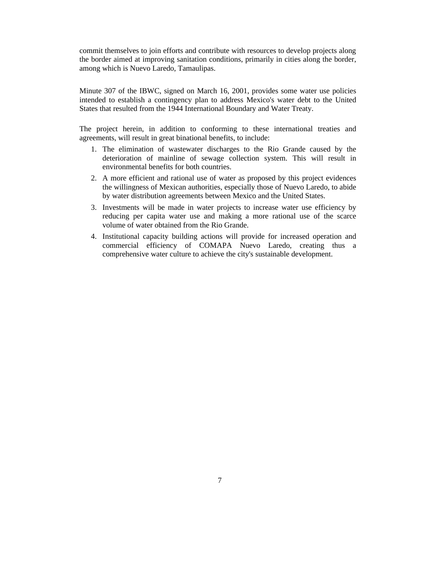commit themselves to join efforts and contribute with resources to develop projects along the border aimed at improving sanitation conditions, primarily in cities along the border, among which is Nuevo Laredo, Tamaulipas.

Minute 307 of the IBWC, signed on March 16, 2001, provides some water use policies intended to establish a contingency plan to address Mexico's water debt to the United States that resulted from the 1944 International Boundary and Water Treaty.

The project herein, in addition to conforming to these international treaties and agreements, will result in great binational benefits, to include:

- 1. The elimination of wastewater discharges to the Rio Grande caused by the deterioration of mainline of sewage collection system. This will result in environmental benefits for both countries.
- 2. A more efficient and rational use of water as proposed by this project evidences the willingness of Mexican authorities, especially those of Nuevo Laredo, to abide by water distribution agreements between Mexico and the United States.
- 3. Investments will be made in water projects to increase water use efficiency by reducing per capita water use and making a more rational use of the scarce volume of water obtained from the Rio Grande.
- 4. Institutional capacity building actions will provide for increased operation and commercial efficiency of COMAPA Nuevo Laredo, creating thus a comprehensive water culture to achieve the city's sustainable development.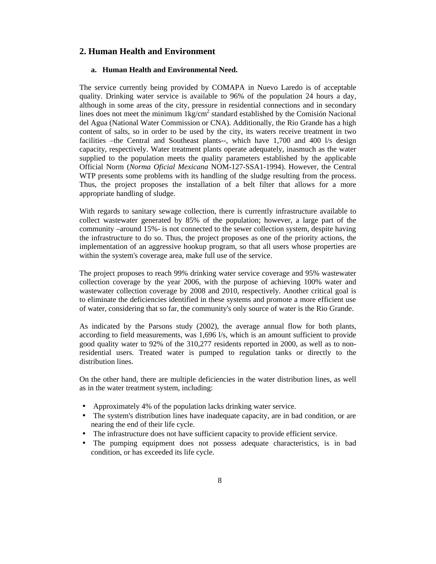# **2. Human Health and Environment**

## **a. Human Health and Environmental Need.**

The service currently being provided by COMAPA in Nuevo Laredo is of acceptable quality. Drinking water service is available to 96% of the population 24 hours a day, although in some areas of the city, pressure in residential connections and in secondary lines does not meet the minimum 1kg/cm<sup>2</sup> standard established by the Comisión Nacional del Agua (National Water Commission or CNA). Additionally, the Rio Grande has a high content of salts, so in order to be used by the city, its waters receive treatment in two facilities –the Central and Southeast plants--, which have 1,700 and 400 l/s design capacity, respectively. Water treatment plants operate adequately, inasmuch as the water supplied to the population meets the quality parameters established by the applicable Official Norm (*Norma Oficial Mexicana* NOM-127-SSA1-1994). However, the Central WTP presents some problems with its handling of the sludge resulting from the process. Thus, the project proposes the installation of a belt filter that allows for a more appropriate handling of sludge.

With regards to sanitary sewage collection, there is currently infrastructure available to collect wastewater generated by 85% of the population; however, a large part of the community –around 15%- is not connected to the sewer collection system, despite having the infrastructure to do so. Thus, the project proposes as one of the priority actions, the implementation of an aggressive hookup program, so that all users whose properties are within the system's coverage area, make full use of the service.

The project proposes to reach 99% drinking water service coverage and 95% wastewater collection coverage by the year 2006, with the purpose of achieving 100% water and wastewater collection coverage by 2008 and 2010, respectively. Another critical goal is to eliminate the deficiencies identified in these systems and promote a more efficient use of water, considering that so far, the community's only source of water is the Rio Grande.

As indicated by the Parsons study (2002), the average annual flow for both plants, according to field measurements, was 1,696 l/s, which is an amount sufficient to provide good quality water to 92% of the 310,277 residents reported in 2000, as well as to nonresidential users. Treated water is pumped to regulation tanks or directly to the distribution lines.

On the other hand, there are multiple deficiencies in the water distribution lines, as well as in the water treatment system, including:

- Approximately 4% of the population lacks drinking water service.
- The system's distribution lines have inadequate capacity, are in bad condition, or are nearing the end of their life cycle.
- The infrastructure does not have sufficient capacity to provide efficient service.
- The pumping equipment does not possess adequate characteristics, is in bad condition, or has exceeded its life cycle.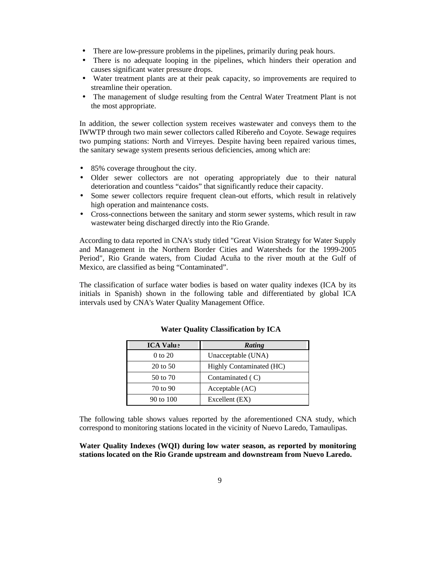- There are low-pressure problems in the pipelines, primarily during peak hours.
- There is no adequate looping in the pipelines, which hinders their operation and causes significant water pressure drops.
- Water treatment plants are at their peak capacity, so improvements are required to streamline their operation.
- The management of sludge resulting from the Central Water Treatment Plant is not the most appropriate.

In addition, the sewer collection system receives wastewater and conveys them to the IWWTP through two main sewer collectors called Ribereño and Coyote. Sewage requires two pumping stations: North and Virreyes. Despite having been repaired various times, the sanitary sewage system presents serious deficiencies, among which are:

- 85% coverage throughout the city.
- Older sewer collectors are not operating appropriately due to their natural deterioration and countless "caidos" that significantly reduce their capacity.
- Some sewer collectors require frequent clean-out efforts, which result in relatively high operation and maintenance costs.
- Cross-connections between the sanitary and storm sewer systems, which result in raw wastewater being discharged directly into the Rio Grande.

According to data reported in CNA's study titled "Great Vision Strategy for Water Supply and Management in the Northern Border Cities and Watersheds for the 1999-2005 Period", Rio Grande waters, from Ciudad Acuña to the river mouth at the Gulf of Mexico, are classified as being "Contaminated".

The classification of surface water bodies is based on water quality indexes (ICA by its initials in Spanish) shown in the following table and differentiated by global ICA intervals used by CNA's Water Quality Management Office.

| <b>ICA Valu</b> : | Rating                   |
|-------------------|--------------------------|
| 0 to 20           | Unacceptable (UNA)       |
| 20 to 50          | Highly Contaminated (HC) |
| 50 to 70          | Contaminated $(C)$       |
| 70 to 90          | Acceptable (AC)          |
| 90 to 100         | Excellent (EX)           |

### **Water Quality Classification by ICA**

The following table shows values reported by the aforementioned CNA study, which correspond to monitoring stations located in the vicinity of Nuevo Laredo, Tamaulipas.

# **Water Quality Indexes (WQI) during low water season, as reported by monitoring stations located on the Rio Grande upstream and downstream from Nuevo Laredo.**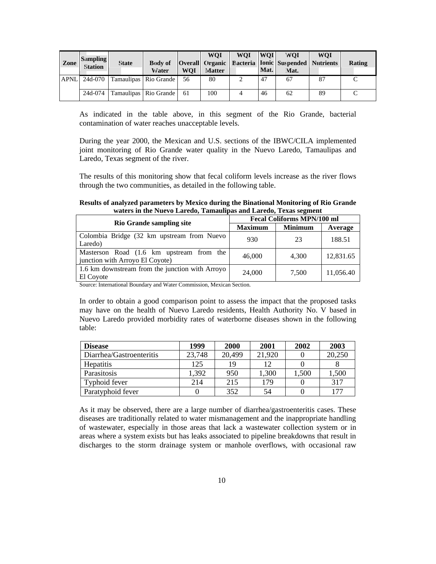| Zone        | Sampling<br><b>Station</b> | <b>State</b>                      | <b>Body of</b><br>Water | <b>WOI</b> | <b>WOI</b><br><b>Matter</b> | <b>WOI</b> | <b>WOI</b><br>Mat. | WOI<br><b>Overall Organic Bacteria Ionic Suspended Nutrients</b><br>Mat. | <b>WOI</b> | Rating |
|-------------|----------------------------|-----------------------------------|-------------------------|------------|-----------------------------|------------|--------------------|--------------------------------------------------------------------------|------------|--------|
| <b>APNL</b> |                            | 24d-070   Tamaulipas   Rio Grande |                         | 56         | 80                          |            | 47                 | 67                                                                       | 87         |        |
|             | 24d-074                    | Tamaulipas   Rio Grande           |                         | 61         | 100                         |            | 46                 | 62                                                                       | 89         |        |

As indicated in the table above, in this segment of the Rio Grande, bacterial contamination of water reaches unacceptable levels.

During the year 2000, the Mexican and U.S. sections of the IBWC/CILA implemented joint monitoring of Rio Grande water quality in the Nuevo Laredo, Tamaulipas and Laredo, Texas segment of the river.

The results of this monitoring show that fecal coliform levels increase as the river flows through the two communities, as detailed in the following table.

**Results of analyzed parameters by Mexico during the Binational Monitoring of Rio Grande waters in the Nuevo Laredo, Tamaulipas and Laredo, Texas segment**

| <b>Rio Grande sampling site</b>                                             | <b>Fecal Coliforms MPN/100 ml</b> |                |           |  |
|-----------------------------------------------------------------------------|-----------------------------------|----------------|-----------|--|
|                                                                             | <b>Maximum</b>                    | <b>Minimum</b> | Average   |  |
| Colombia Bridge (32 km upstream from Nuevo<br>Laredo)                       | 930                               | 23             | 188.51    |  |
| Masterson Road (1.6 km upstream from the<br>junction with Arroyo El Coyote) | 46,000                            | 4.300          | 12,831.65 |  |
| 1.6 km downstream from the junction with Arroyo<br>El Coyote                | 24,000                            | 7.500          | 11,056.40 |  |

Source: International Boundary and Water Commission, Mexican Section.

In order to obtain a good comparison point to assess the impact that the proposed tasks may have on the health of Nuevo Laredo residents, Health Authority No. V based in Nuevo Laredo provided morbidity rates of waterborne diseases shown in the following table:

| <b>Disease</b>           | 1999   | <b>2000</b> | 2001   | 2002  | 2003   |
|--------------------------|--------|-------------|--------|-------|--------|
| Diarrhea/Gastroenteritis | 23,748 | 20,499      | 21,920 |       | 20,250 |
| <b>Hepatitis</b>         | 125    | 19          | 12     |       |        |
| Parasitosis              | 1,392  | 950         | 1,300  | 1,500 | 1,500  |
| Typhoid fever            | 214    | 215         | 179    |       | 317    |
| Paratyphoid fever        |        | 352         | 54     |       | 177    |

As it may be observed, there are a large number of diarrhea/gastroenteritis cases. These diseases are traditionally related to water mismanagement and the inappropriate handling of wastewater, especially in those areas that lack a wastewater collection system or in areas where a system exists but has leaks associated to pipeline breakdowns that result in discharges to the storm drainage system or manhole overflows, with occasional raw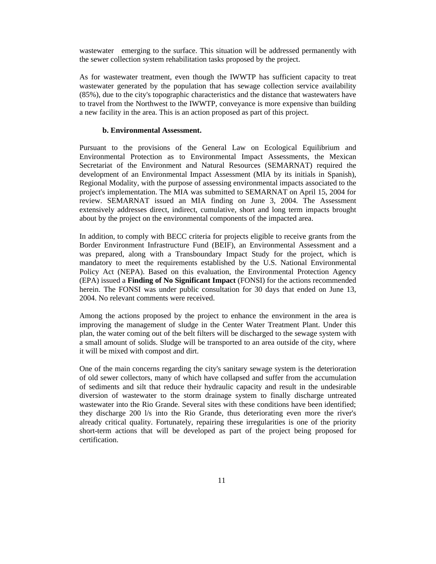wastewater emerging to the surface. This situation will be addressed permanently with the sewer collection system rehabilitation tasks proposed by the project.

As for wastewater treatment, even though the IWWTP has sufficient capacity to treat wastewater generated by the population that has sewage collection service availability (85%), due to the city's topographic characteristics and the distance that wastewaters have to travel from the Northwest to the IWWTP, conveyance is more expensive than building a new facility in the area. This is an action proposed as part of this project.

### **b. Environmental Assessment.**

Pursuant to the provisions of the General Law on Ecological Equilibrium and Environmental Protection as to Environmental Impact Assessments, the Mexican Secretariat of the Environment and Natural Resources (SEMARNAT) required the development of an Environmental Impact Assessment (MIA by its initials in Spanish), Regional Modality, with the purpose of assessing environmental impacts associated to the project's implementation. The MIA was submitted to SEMARNAT on April 15, 2004 for review. SEMARNAT issued an MIA finding on June 3, 2004. The Assessment extensively addresses direct, indirect, cumulative, short and long term impacts brought about by the project on the environmental components of the impacted area.

In addition, to comply with BECC criteria for projects eligible to receive grants from the Border Environment Infrastructure Fund (BEIF), an Environmental Assessment and a was prepared, along with a Transboundary Impact Study for the project, which is mandatory to meet the requirements established by the U.S. National Environmental Policy Act (NEPA). Based on this evaluation, the Environmental Protection Agency (EPA) issued a **Finding of No Significant Impact** (FONSI) for the actions recommended herein. The FONSI was under public consultation for 30 days that ended on June 13, 2004. No relevant comments were received.

Among the actions proposed by the project to enhance the environment in the area is improving the management of sludge in the Center Water Treatment Plant. Under this plan, the water coming out of the belt filters will be discharged to the sewage system with a small amount of solids. Sludge will be transported to an area outside of the city, where it will be mixed with compost and dirt.

One of the main concerns regarding the city's sanitary sewage system is the deterioration of old sewer collectors, many of which have collapsed and suffer from the accumulation of sediments and silt that reduce their hydraulic capacity and result in the undesirable diversion of wastewater to the storm drainage system to finally discharge untreated wastewater into the Rio Grande. Several sites with these conditions have been identified; they discharge 200 l/s into the Rio Grande, thus deteriorating even more the river's already critical quality. Fortunately, repairing these irregularities is one of the priority short-term actions that will be developed as part of the project being proposed for certification.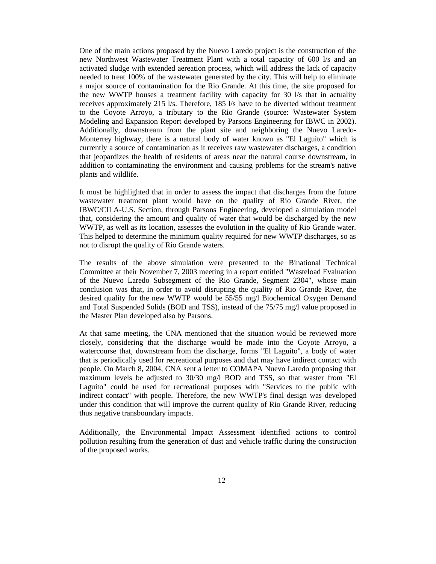One of the main actions proposed by the Nuevo Laredo project is the construction of the new Northwest Wastewater Treatment Plant with a total capacity of 600 l/s and an activated sludge with extended aereation process, which will address the lack of capacity needed to treat 100% of the wastewater generated by the city. This will help to eliminate a major source of contamination for the Rio Grande. At this time, the site proposed for the new WWTP houses a treatment facility with capacity for 30 l/s that in actuality receives approximately 215 l/s. Therefore, 185 l/s have to be diverted without treatment to the Coyote Arroyo, a tributary to the Rio Grande (source: Wastewater System Modeling and Expansion Report developed by Parsons Engineering for IBWC in 2002). Additionally, downstream from the plant site and neighboring the Nuevo Laredo-Monterrey highway, there is a natural body of water known as "El Laguito" which is currently a source of contamination as it receives raw wastewater discharges, a condition that jeopardizes the health of residents of areas near the natural course downstream, in addition to contaminating the environment and causing problems for the stream's native plants and wildlife.

It must be highlighted that in order to assess the impact that discharges from the future wastewater treatment plant would have on the quality of Rio Grande River, the IBWC/CILA-U.S. Section, through Parsons Engineering, developed a simulation model that, considering the amount and quality of water that would be discharged by the new WWTP, as well as its location, assesses the evolution in the quality of Rio Grande water. This helped to determine the minimum quality required for new WWTP discharges, so as not to disrupt the quality of Rio Grande waters.

The results of the above simulation were presented to the Binational Technical Committee at their November 7, 2003 meeting in a report entitled "Wasteload Evaluation of the Nuevo Laredo Subsegment of the Rio Grande, Segment 2304", whose main conclusion was that, in order to avoid disrupting the quality of Rio Grande River, the desired quality for the new WWTP would be 55/55 mg/l Biochemical Oxygen Demand and Total Suspended Solids (BOD and TSS), instead of the 75/75 mg/l value proposed in the Master Plan developed also by Parsons.

At that same meeting, the CNA mentioned that the situation would be reviewed more closely, considering that the discharge would be made into the Coyote Arroyo, a watercourse that, downstream from the discharge, forms "El Laguito", a body of water that is periodically used for recreational purposes and that may have indirect contact with people. On March 8, 2004, CNA sent a letter to COMAPA Nuevo Laredo proposing that maximum levels be adjusted to 30/30 mg/l BOD and TSS, so that waster from "El Laguito" could be used for recreational purposes with "Services to the public with indirect contact" with people. Therefore, the new WWTP's final design was developed under this condition that will improve the current quality of Rio Grande River, reducing thus negative transboundary impacts.

Additionally, the Environmental Impact Assessment identified actions to control pollution resulting from the generation of dust and vehicle traffic during the construction of the proposed works.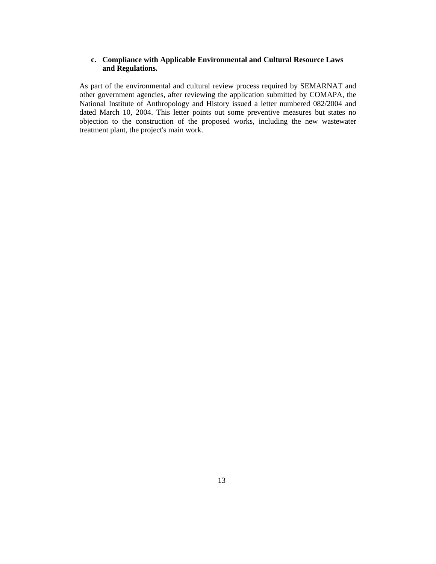# **c. Compliance with Applicable Environmental and Cultural Resource Laws and Regulations.**

As part of the environmental and cultural review process required by SEMARNAT and other government agencies, after reviewing the application submitted by COMAPA, the National Institute of Anthropology and History issued a letter numbered 082/2004 and dated March 10, 2004. This letter points out some preventive measures but states no objection to the construction of the proposed works, including the new wastewater treatment plant, the project's main work.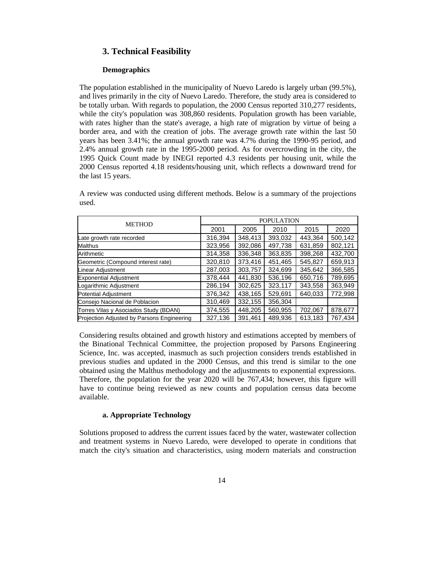# **3. Technical Feasibility**

### **Demographics**

The population established in the municipality of Nuevo Laredo is largely urban (99.5%), and lives primarily in the city of Nuevo Laredo. Therefore, the study area is considered to be totally urban. With regards to population, the 2000 Census reported 310,277 residents, while the city's population was 308,860 residents. Population growth has been variable, with rates higher than the state's average, a high rate of migration by virtue of being a border area, and with the creation of jobs. The average growth rate within the last 50 years has been 3.41%; the annual growth rate was 4.7% during the 1990-95 period, and 2.4% annual growth rate in the 1995-2000 period. As for overcrowding in the city, the 1995 Quick Count made by INEGI reported 4.3 residents per housing unit, while the 2000 Census reported 4.18 residents/housing unit, which reflects a downward trend for the last 15 years.

A review was conducted using different methods. Below is a summary of the projections used.

| <b>METHOD</b>                              |         | <b>POPULATION</b> |         |         |         |  |
|--------------------------------------------|---------|-------------------|---------|---------|---------|--|
|                                            | 2001    | 2005              | 2010    | 2015    | 2020    |  |
| Late growth rate recorded                  | 316,394 | 348.413           | 393,032 | 443.364 | 500.142 |  |
| Malthus                                    | 323,956 | 392,086           | 497,738 | 631,859 | 802,121 |  |
| Arithmetic                                 | 314,358 | 336,348           | 363,835 | 398,268 | 432,700 |  |
| Geometric (Compound interest rate)         | 320,810 | 373,416           | 451,465 | 545,827 | 659,913 |  |
| Linear Adjustment                          | 287,003 | 303.757           | 324,699 | 345.642 | 366,585 |  |
| <b>Exponential Adjustment</b>              | 378,444 | 441,830           | 536,196 | 650,716 | 789,695 |  |
| Logarithmic Adjustment                     | 286,194 | 302,625           | 323,117 | 343,558 | 363,949 |  |
| <b>Potential Adjustment</b>                | 376,342 | 438,165           | 529,691 | 640,033 | 772,998 |  |
| Consejo Nacional de Poblacion              | 310,469 | 332,155           | 356,304 |         |         |  |
| Torres Vilas y Asociados Study (BDAN)      | 374,555 | 448.205           | 560,955 | 702,067 | 878,677 |  |
| Projection Adjusted by Parsons Engineering | 327,136 | 391,461           | 489,936 | 613,183 | 767,434 |  |

Considering results obtained and growth history and estimations accepted by members of the Binational Technical Committee, the projection proposed by Parsons Engineering Science, Inc. was accepted, inasmuch as such projection considers trends established in previous studies and updated in the 2000 Census, and this trend is similar to the one obtained using the Malthus methodology and the adjustments to exponential expressions. Therefore, the population for the year 2020 will be 767,434; however, this figure will have to continue being reviewed as new counts and population census data become available.

### **a. Appropriate Technology**

Solutions proposed to address the current issues faced by the water, wastewater collection and treatment systems in Nuevo Laredo, were developed to operate in conditions that match the city's situation and characteristics, using modern materials and construction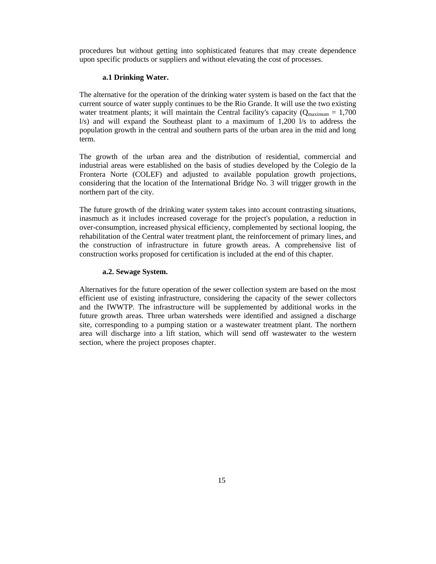procedures but without getting into sophisticated features that may create dependence upon specific products or suppliers and without elevating the cost of processes.

### **a.1 Drinking Water.**

The alternative for the operation of the drinking water system is based on the fact that the current source of water supply continues to be the Rio Grande. It will use the two existing water treatment plants; it will maintain the Central facility's capacity ( $Q_{\text{maximum}} = 1,700$ l/s) and will expand the Southeast plant to a maximum of 1,200 l/s to address the population growth in the central and southern parts of the urban area in the mid and long term.

The growth of the urban area and the distribution of residential, commercial and industrial areas were established on the basis of studies developed by the Colegio de la Frontera Norte (COLEF) and adjusted to available population growth projections, considering that the location of the International Bridge No. 3 will trigger growth in the northern part of the city.

The future growth of the drinking water system takes into account contrasting situations, inasmuch as it includes increased coverage for the project's population, a reduction in over-consumption, increased physical efficiency, complemented by sectional looping, the rehabilitation of the Central water treatment plant, the reinforcement of primary lines, and the construction of infrastructure in future growth areas. A comprehensive list of construction works proposed for certification is included at the end of this chapter.

# a.2. Sewage System.<br>a.2. Sewage System.

Alternatives for the future operation of the sewer collection system are based on the most efficient use of existing infrastructure, considering the capacity of the sewer collectors and the IWWTP. The infrastructure will be supplemented by additional works in the future growth areas. Three urban watersheds were identified and assigned a discharge site, corresponding to a pumping station or a wastewater treatment plant. The northern area will discharge into a lift station, which will send off wastewater to the western section, where the project proposes chapter.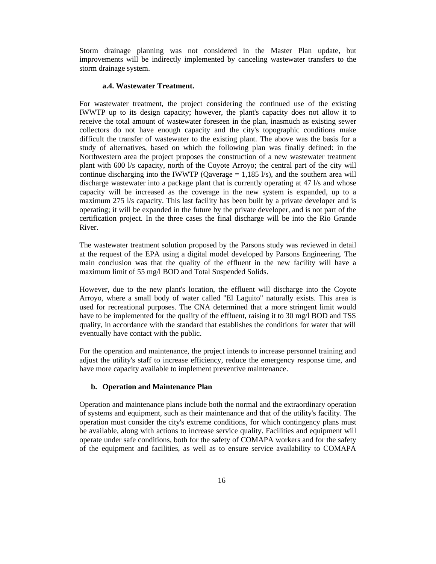Storm drainage planning was not considered in the Master Plan update, but improvements will be indirectly implemented by canceling wastewater transfers to the storm drainage system.

#### **a.4. Wastewater Treatment.**

For wastewater treatment, the project considering the continued use of the existing IWWTP up to its design capacity; however, the plant's capacity does not allow it to receive the total amount of wastewater foreseen in the plan, inasmuch as existing sewer collectors do not have enough capacity and the city's topographic conditions make difficult the transfer of wastewater to the existing plant. The above was the basis for a study of alternatives, based on which the following plan was finally defined: in the Northwestern area the project proposes the construction of a new wastewater treatment plant with 600 l/s capacity, north of the Coyote Arroyo; the central part of the city will continue discharging into the IWWTP (Qaverage  $= 1,185 \frac{\text{1}}{\text{s}}$ ), and the southern area will discharge wastewater into a package plant that is currently operating at 47 l/s and whose capacity will be increased as the coverage in the new system is expanded, up to a maximum 275 l/s capacity. This last facility has been built by a private developer and is operating; it will be expanded in the future by the private developer, and is not part of the certification project. In the three cases the final discharge will be into the Rio Grande River.

The wastewater treatment solution proposed by the Parsons study was reviewed in detail at the request of the EPA using a digital model developed by Parsons Engineering. The main conclusion was that the quality of the effluent in the new facility will have a maximum limit of 55 mg/l BOD and Total Suspended Solids.

However, due to the new plant's location, the effluent will discharge into the Coyote Arroyo, where a small body of water called "El Laguito" naturally exists. This area is used for recreational purposes. The CNA determined that a more stringent limit would have to be implemented for the quality of the effluent, raising it to 30 mg/l BOD and TSS quality, in accordance with the standard that establishes the conditions for water that will eventually have contact with the public.

For the operation and maintenance, the project intends to increase personnel training and adjust the utility's staff to increase efficiency, reduce the emergency response time, and have more capacity available to implement preventive maintenance.

### **b. Operation and Maintenance Plan**

Operation and maintenance plans include both the normal and the extraordinary operation of systems and equipment, such as their maintenance and that of the utility's facility. The operation must consider the city's extreme conditions, for which contingency plans must be available, along with actions to increase service quality. Facilities and equipment will operate under safe conditions, both for the safety of COMAPA workers and for the safety of the equipment and facilities, as well as to ensure service availability to COMAPA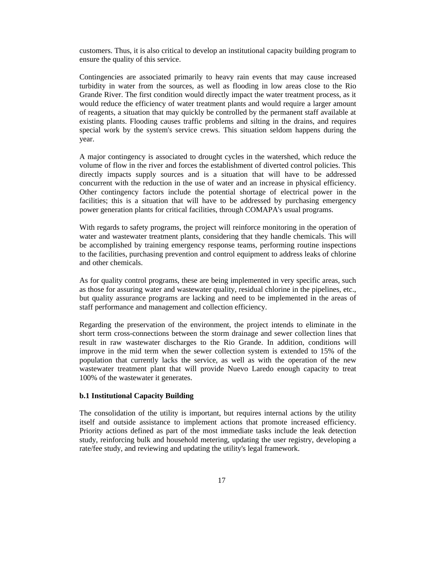customers. Thus, it is also critical to develop an institutional capacity building program to ensure the quality of this service.

Contingencies are associated primarily to heavy rain events that may cause increased turbidity in water from the sources, as well as flooding in low areas close to the Rio Grande River. The first condition would directly impact the water treatment process, as it would reduce the efficiency of water treatment plants and would require a larger amount of reagents, a situation that may quickly be controlled by the permanent staff available at existing plants. Flooding causes traffic problems and silting in the drains, and requires special work by the system's service crews. This situation seldom happens during the year.

A major contingency is associated to drought cycles in the watershed, which reduce the volume of flow in the river and forces the establishment of diverted control policies. This directly impacts supply sources and is a situation that will have to be addressed concurrent with the reduction in the use of water and an increase in physical efficiency. Other contingency factors include the potential shortage of electrical power in the facilities; this is a situation that will have to be addressed by purchasing emergency power generation plants for critical facilities, through COMAPA's usual programs.

With regards to safety programs, the project will reinforce monitoring in the operation of water and wastewater treatment plants, considering that they handle chemicals. This will be accomplished by training emergency response teams, performing routine inspections to the facilities, purchasing prevention and control equipment to address leaks of chlorine and other chemicals.

As for quality control programs, these are being implemented in very specific areas, such as those for assuring water and wastewater quality, residual chlorine in the pipelines, etc., but quality assurance programs are lacking and need to be implemented in the areas of staff performance and management and collection efficiency.

Regarding the preservation of the environment, the project intends to eliminate in the short term cross-connections between the storm drainage and sewer collection lines that result in raw wastewater discharges to the Rio Grande. In addition, conditions will improve in the mid term when the sewer collection system is extended to 15% of the population that currently lacks the service, as well as with the operation of the new wastewater treatment plant that will provide Nuevo Laredo enough capacity to treat 100% of the wastewater it generates.

### **b.1 Institutional Capacity Building**

The consolidation of the utility is important, but requires internal actions by the utility itself and outside assistance to implement actions that promote increased efficiency. Priority actions defined as part of the most immediate tasks include the leak detection study, reinforcing bulk and household metering, updating the user registry, developing a rate/fee study, and reviewing and updating the utility's legal framework.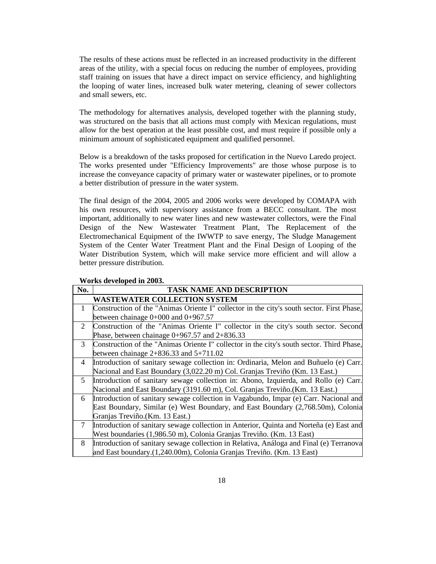The results of these actions must be reflected in an increased productivity in the different areas of the utility, with a special focus on reducing the number of employees, providing staff training on issues that have a direct impact on service efficiency, and highlighting the looping of water lines, increased bulk water metering, cleaning of sewer collectors and small sewers, etc.

The methodology for alternatives analysis, developed together with the planning study, was structured on the basis that all actions must comply with Mexican regulations, must allow for the best operation at the least possible cost, and must require if possible only a minimum amount of sophisticated equipment and qualified personnel.

Below is a breakdown of the tasks proposed for certification in the Nuevo Laredo project. The works presented under "Efficiency Improvements" are those whose purpose is to increase the conveyance capacity of primary water or wastewater pipelines, or to promote a better distribution of pressure in the water system.

The final design of the 2004, 2005 and 2006 works were developed by COMAPA with his own resources, with supervisory assistance from a BECC consultant. The most important, additionally to new water lines and new wastewater collectors, were the Final Design of the New Wastewater Treatment Plant, The Replacement of the Electromechanical Equipment of the IWWTP to save energy, The Sludge Management System of the Center Water Treatment Plant and the Final Design of Looping of the Water Distribution System, which will make service more efficient and will allow a better pressure distribution.

| No. | <b>TASK NAME AND DESCRIPTION</b>                                                          |
|-----|-------------------------------------------------------------------------------------------|
|     | <b>WASTEWATER COLLECTION SYSTEM</b>                                                       |
| 1   | Construction of the "Animas Oriente I" collector in the city's south sector. First Phase, |
|     | between chainage $0+000$ and $0+967.57$                                                   |
| 2   | Construction of the "Animas Oriente I" collector in the city's south sector. Second       |
|     | Phase, between chainage $0+967.57$ and $2+836.33$                                         |
| 3   | Construction of the "Animas Oriente I" collector in the city's south sector. Third Phase, |
|     | between chainage $2+836.33$ and $5+711.02$                                                |
| 4   | Introduction of sanitary sewage collection in: Ordinaria, Melon and Buñuelo (e) Carr.     |
|     | Nacional and East Boundary (3,022.20 m) Col. Granjas Treviño (Km. 13 East.)               |
| 5   | Introduction of sanitary sewage collection in: Abono, Izquierda, and Rollo (e) Carr.      |
|     | Nacional and East Boundary (3191.60 m), Col. Granjas Treviño.(Km. 13 East.)               |
| 6   | Introduction of sanitary sewage collection in Vagabundo, Impar (e) Carr. Nacional and     |
|     | East Boundary, Similar (e) West Boundary, and East Boundary (2,768.50m), Colonia          |
|     | Granjas Treviño. (Km. 13 East.)                                                           |
| 7   | Introduction of sanitary sewage collection in Anterior, Quinta and Norteña (e) East and   |
|     | West boundaries (1,986.50 m), Colonia Granjas Treviño. (Km. 13 East)                      |
| 8   | Introduction of sanitary sewage collection in Relativa, Análoga and Final (e) Terranova   |
|     | and East boundary.(1,240.00m), Colonia Granjas Treviño. (Km. 13 East)                     |

#### **Works developed in 2003.**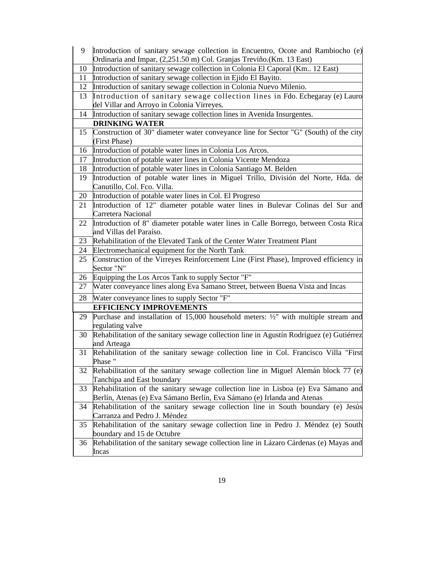| 9  | Introduction of sanitary sewage collection in Encuentro, Ocote and Rambiocho $(e)$<br>Ordinaria and Impar, (2,251.50 m) Col. Granjas Treviño. (Km. 13 East) |
|----|-------------------------------------------------------------------------------------------------------------------------------------------------------------|
| 10 | Introduction of sanitary sewage collection in Colonia El Caporal (Km., 12 East)                                                                             |
| 11 | Introduction of sanitary sewage collection in Ejido El Bayito.                                                                                              |
| 12 | Introduction of sanitary sewage collection in Colonia Nuevo Milenio.                                                                                        |
| 13 | Introduction of sanitary sewage collection lines in Fdo. Echegaray (e) Lauro                                                                                |
|    | del Villar and Arroyo in Colonia Virreyes.                                                                                                                  |
| 14 | Introduction of sanitary sewage collection lines in Avenida Insurgentes.                                                                                    |
|    | <b>DRINKING WATER</b>                                                                                                                                       |
| 15 | Construction of 30" diameter water conveyance line for Sector "G" (South) of the city                                                                       |
|    | (First Phase)                                                                                                                                               |
|    | 16 Introduction of potable water lines in Colonia Los Arcos.                                                                                                |
| 17 | Introduction of potable water lines in Colonia Vicente Mendoza                                                                                              |
| 18 | Introduction of potable water lines in Colonia Santiago M. Belden                                                                                           |
| 19 | Introduction of potable water lines in Miguel Trillo, División del Norte, Hda. de<br>Canutillo, Col. Fco. Villa.                                            |
| 20 | Introduction of potable water lines in Col. El Progreso                                                                                                     |
| 21 | Introduction of 12" diameter potable water lines in Bulevar Colinas del Sur and                                                                             |
|    | Carretera Nacional                                                                                                                                          |
| 22 | Introduction of 8" diameter potable water lines in Calle Borrego, between Costa Rica                                                                        |
|    | and Villas del Paraíso.                                                                                                                                     |
| 23 | Rehabilitation of the Elevated Tank of the Center Water Treatment Plant                                                                                     |
| 24 | Electromechanical equipment for the North Tank                                                                                                              |
| 25 | Construction of the Virreyes Reinforcement Line (First Phase), Improved efficiency in<br>Sector "N"                                                         |
| 26 | Equipping the Los Arcos Tank to supply Sector "F"                                                                                                           |
| 27 | Water conveyance lines along Eva Samano Street, between Buena Vista and Incas                                                                               |
| 28 | Water conveyance lines to supply Sector "F"                                                                                                                 |
|    | <b>EFFICIENCY IMPROVEMENTS</b>                                                                                                                              |
| 29 | Purchase and installation of 15,000 household meters: $\frac{1}{2}$ with multiple stream and<br>regulating valve                                            |
| 30 | Rehabilitation of the sanitary sewage collection line in Agustín Rodríguez (e) Gutiérrez                                                                    |
|    | and Arteaga                                                                                                                                                 |
| 31 | Rehabilitation of the sanitary sewage collection line in Col. Francisco Villa "First                                                                        |
|    | Phase"                                                                                                                                                      |
| 32 | Rehabilitation of the sanitary sewage collection line in Miguel Alemán block 77 (e)                                                                         |
|    | Tanchipa and East boundary                                                                                                                                  |
| 33 | Rehabilitation of the sanitary sewage collection line in Lisboa (e) Eva Sámano and                                                                          |
|    | Berlín, Atenas (e) Eva Sámano Berlín, Eva Sámano (e) Irlanda and Atenas                                                                                     |
| 34 | Rehabilitation of the sanitary sewage collection line in South boundary (e) Jesús                                                                           |
|    | Carranza and Pedro J. Méndez                                                                                                                                |
| 35 | Rehabilitation of the sanitary sewage collection line in Pedro J. Méndez (e) South                                                                          |
|    | boundary and 15 de Octubre                                                                                                                                  |
| 36 | Rehabilitation of the sanitary sewage collection line in Lázaro Cárdenas (e) Mayas and                                                                      |
|    | Incas                                                                                                                                                       |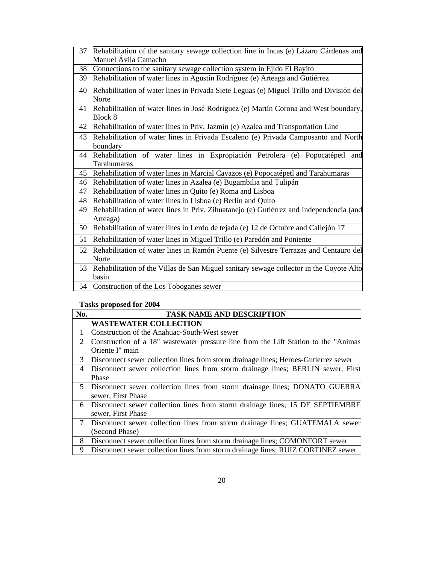| 37 | Rehabilitation of the sanitary sewage collection line in Incas (e) Lázaro Cárdenas and              |
|----|-----------------------------------------------------------------------------------------------------|
|    | Manuel Ávila Camacho                                                                                |
| 38 | Connections to the sanitary sewage collection system in Ejido El Bayito                             |
| 39 | Rehabilitation of water lines in Agustín Rodríguez (e) Arteaga and Gutiérrez                        |
| 40 | Rehabilitation of water lines in Privada Siete Leguas (e) Miguel Trillo and División del<br>Norte   |
| 41 | Rehabilitation of water lines in José Rodríguez (e) Martín Corona and West boundary,<br>Block 8     |
| 42 | Rehabilitation of water lines in Priv. Jazmín (e) Azalea and Transportation Line                    |
| 43 | Rehabilitation of water lines in Privada Escaleno (e) Privada Camposanto and North<br>boundary      |
| 44 | Rehabilitation of water lines in Expropiación Petrolera (e) Popocatépetl and<br>Tarahumaras         |
| 45 | Rehabilitation of water lines in Marcial Cavazos (e) Popocatépetl and Tarahumaras                   |
| 46 | Rehabilitation of water lines in Azalea (e) Bugambilia and Tulipán                                  |
| 47 | Rehabilitation of water lines in Quito (e) Roma and Lisboa                                          |
| 48 | Rehabilitation of water lines in Lisboa (e) Berlín and Quito                                        |
| 49 | Rehabilitation of water lines in Priv. Zihuatanejo (e) Gutiérrez and Independencia (and<br>Arteaga) |
| 50 | Rehabilitation of water lines in Lerdo de tejada (e) 12 de Octubre and Callejón 17                  |
| 51 | Rehabilitation of water lines in Miguel Trillo (e) Paredón and Poniente                             |
| 52 | Rehabilitation of water lines in Ramón Puente (e) Silvestre Terrazas and Centauro del<br>Norte      |
| 53 | Rehabilitation of the Villas de San Miguel sanitary sewage collector in the Coyote Alto<br>basin    |
|    | 54 Construction of the Los Toboganes sewer                                                          |

# **Tasks proposed for 2004**

| No. | <b>TASK NAME AND DESCRIPTION</b>                                                     |
|-----|--------------------------------------------------------------------------------------|
|     | <b>WASTEWATER COLLECTION</b>                                                         |
| 1   | Construction of the Anahuac-South-West sewer                                         |
| 2   | Construction of a 18" wastewater pressure line from the Lift Station to the "Animas" |
|     | Oriente I" main                                                                      |
| 3   | Disconnect sewer collection lines from storm drainage lines; Heroes-Gutierrez sewer  |
| 4   | Disconnect sewer collection lines from storm drainage lines; BERLIN sewer, First     |
|     | Phase                                                                                |
| 5   | Disconnect sewer collection lines from storm drainage lines; DONATO GUERRA           |
|     | sewer, First Phase                                                                   |
| 6   | Disconnect sewer collection lines from storm drainage lines; 15 DE SEPTIEMBRE        |
|     | sewer, First Phase                                                                   |
| 7   | Disconnect sewer collection lines from storm drainage lines; GUATEMALA sewer         |
|     | (Second Phase)                                                                       |
| 8   | Disconnect sewer collection lines from storm drainage lines; COMONFORT sewer         |
| 9   | Disconnect sewer collection lines from storm drainage lines; RUIZ CORTINEZ sewer     |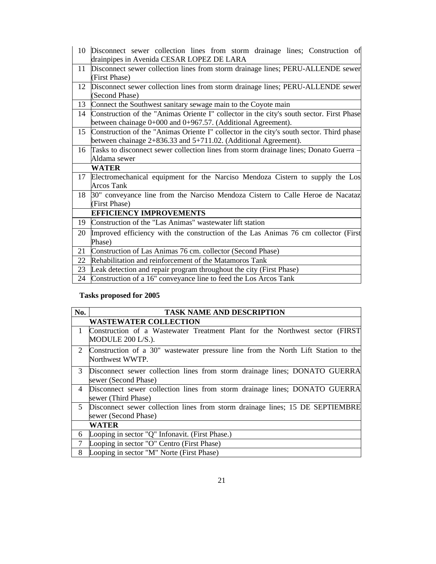| 10              | Disconnect sewer collection lines from storm drainage lines; Construction of<br>drainpipes in Avenida CESAR LOPEZ DE LARA |
|-----------------|---------------------------------------------------------------------------------------------------------------------------|
| 11              | Disconnect sewer collection lines from storm drainage lines; PERU-ALLENDE sewer                                           |
|                 | (First Phase)                                                                                                             |
| 12              | Disconnect sewer collection lines from storm drainage lines; PERU-ALLENDE sewer                                           |
|                 | (Second Phase)                                                                                                            |
| 13              | Connect the Southwest sanitary sewage main to the Coyote main                                                             |
| 14              | Construction of the "Animas Oriente I" collector in the city's south sector. First Phase                                  |
|                 | between chainage 0+000 and 0+967.57. (Additional Agreement).                                                              |
| 15 <sup>2</sup> | Construction of the "Animas Oriente I" collector in the city's south sector. Third phase                                  |
|                 | between chainage 2+836.33 and 5+711.02. (Additional Agreement).                                                           |
|                 | 16 Tasks to disconnect sewer collection lines from storm drainage lines; Donato Guerra –                                  |
|                 | Aldama sewer                                                                                                              |
|                 | <b>WATER</b>                                                                                                              |
| 17              | Electromechanical equipment for the Narciso Mendoza Cistern to supply the Los                                             |
|                 | <b>Arcos Tank</b>                                                                                                         |
| 18              | 30" conveyance line from the Narciso Mendoza Cistern to Calle Heroe de Nacataz                                            |
|                 | (First Phase)                                                                                                             |
|                 | <b>EFFICIENCY IMPROVEMENTS</b>                                                                                            |
| 19              | Construction of the "Las Animas" wastewater lift station                                                                  |
| 20              | Improved efficiency with the construction of the Las Animas 76 cm collector (First                                        |
|                 | Phase)                                                                                                                    |
| 21              | Construction of Las Animas 76 cm. collector (Second Phase)                                                                |
| 22              | Rehabilitation and reinforcement of the Matamoros Tank                                                                    |
| 23              | Leak detection and repair program throughout the city (First Phase)                                                       |
| 24              | Construction of a 16" conveyance line to feed the Los Arcos Tank                                                          |

# **Tasks proposed for 2005**

| No.            | <b>TASK NAME AND DESCRIPTION</b>                                                                     |
|----------------|------------------------------------------------------------------------------------------------------|
|                | <b>WASTEWATER COLLECTION</b>                                                                         |
| $\mathbf{1}$   | Construction of a Wastewater Treatment Plant for the Northwest sector (FIRST)<br>MODULE 200 L/S.).   |
| $\overline{2}$ | Construction of a 30" wastewater pressure line from the North Lift Station to the<br>Northwest WWTP. |
| 3              | Disconnect sewer collection lines from storm drainage lines; DONATO GUERRA<br>sewer (Second Phase)   |
| 4              | Disconnect sewer collection lines from storm drainage lines; DONATO GUERRA<br>sewer (Third Phase)    |
| 5              | Disconnect sewer collection lines from storm drainage lines; 15 DE SEPTIEMBRE                        |
|                | sewer (Second Phase)                                                                                 |
|                | <b>WATER</b>                                                                                         |
| 6              | Looping in sector "Q" Infonavit. (First Phase.)                                                      |
| 7              | Looping in sector "O" Centro (First Phase)                                                           |
| 8              | Looping in sector "M" Norte (First Phase)                                                            |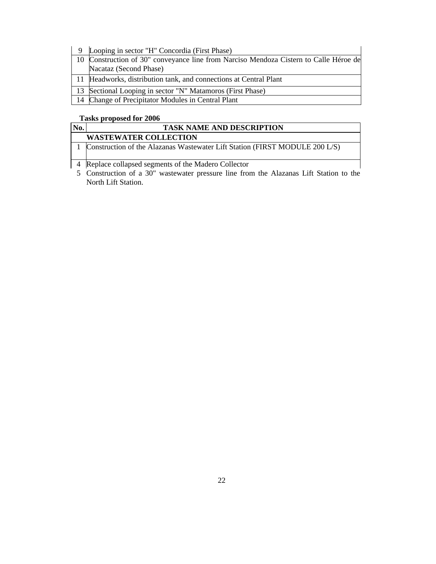| Looping in sector "H" Concordia (First Phase)                                         |
|---------------------------------------------------------------------------------------|
| 10 Construction of 30" conveyance line from Narciso Mendoza Cistern to Calle Héroe de |
| Nacataz (Second Phase)                                                                |
| 11 Headworks, distribution tank, and connections at Central Plant                     |
| 13 Sectional Looping in sector "N" Matamoros (First Phase)                            |
| 14 Change of Precipitator Modules in Central Plant                                    |

# **Tasks proposed for 2006**

| No. | <b>TASK NAME AND DESCRIPTION</b>                                            |
|-----|-----------------------------------------------------------------------------|
|     | <b>WASTEWATER COLLECTION</b>                                                |
|     | Construction of the Alazanas Wastewater Lift Station (FIRST MODULE 200 L/S) |
|     | Replace collapsed segments of the Madero Collector                          |

 Construction of a 30" wastewater pressure line from the Alazanas Lift Station to the North Lift Station.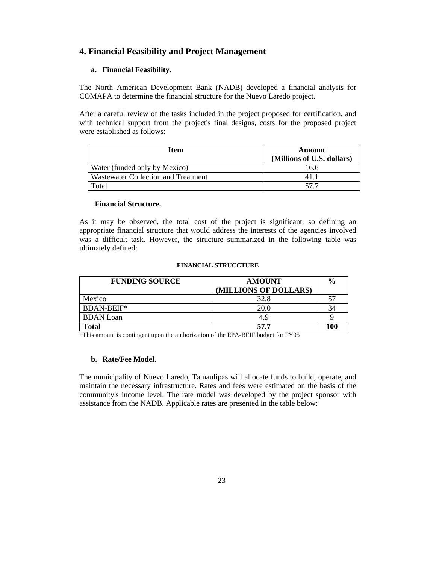# **4. Financial Feasibility and Project Management**

# **a. Financial Feasibility.**

The North American Development Bank (NADB) developed a financial analysis for COMAPA to determine the financial structure for the Nuevo Laredo project.

After a careful review of the tasks included in the project proposed for certification, and with technical support from the project's final designs, costs for the proposed project were established as follows:

| Item                                | Amount<br>(Millions of U.S. dollars) |
|-------------------------------------|--------------------------------------|
| Water (funded only by Mexico)       | 16.6                                 |
| Wastewater Collection and Treatment | 411                                  |
| Total                               | -57 Z                                |

## **Financial Structure.**

As it may be observed, the total cost of the project is significant, so defining an appropriate financial structure that would address the interests of the agencies involved was a difficult task. However, the structure summarized in the following table was ultimately defined:

#### **FINANCIAL STRUCCTURE**

| <b>FUNDING SOURCE</b> | <b>AMOUNT</b>         | $\frac{6}{9}$ |
|-----------------------|-----------------------|---------------|
|                       | (MILLIONS OF DOLLARS) |               |
| Mexico                | 32.8                  | 57            |
| BDAN-BEIF*            | 20.0                  | 34            |
| <b>BDAN</b> Loan      | 4.9                   | Q             |
| Total                 | 57.7                  | 100           |

\*This amount is contingent upon the authorization of the EPA-BEIF budget for FY05

### **b. Rate/Fee Model.**

The municipality of Nuevo Laredo, Tamaulipas will allocate funds to build, operate, and maintain the necessary infrastructure. Rates and fees were estimated on the basis of the community's income level. The rate model was developed by the project sponsor with assistance from the NADB. Applicable rates are presented in the table below: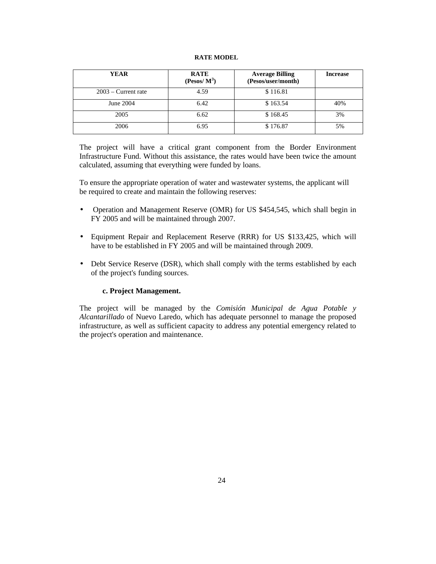### **RATE MODEL**

| <b>YEAR</b>           | <b>RATE</b><br>$(Pesos/M^3)$ | <b>Average Billing</b><br>(Pesos/user/month) | <b>Increase</b> |
|-----------------------|------------------------------|----------------------------------------------|-----------------|
| $2003$ – Current rate | 4.59                         | \$116.81                                     |                 |
| June 2004             | 6.42                         | \$163.54                                     | 40%             |
| 2005                  | 6.62                         | \$168.45                                     | 3%              |
| 2006                  | 6.95                         | \$176.87                                     | 5%              |

The project will have a critical grant component from the Border Environment Infrastructure Fund. Without this assistance, the rates would have been twice the amount calculated, assuming that everything were funded by loans.

To ensure the appropriate operation of water and wastewater systems, the applicant will be required to create and maintain the following reserves:

- **·** Operation and Management Reserve (OMR) for US \$454,545, which shall begin in FY 2005 and will be maintained through 2007.
- **·** Equipment Repair and Replacement Reserve (RRR) for US \$133,425, which will have to be established in FY 2005 and will be maintained through 2009.
- **·** Debt Service Reserve (DSR), which shall comply with the terms established by each of the project's funding sources.

# **c. Project Management.**

The project will be managed by the *Comisión Municipal de Agua Potable y Alcantarillado* of Nuevo Laredo, which has adequate personnel to manage the proposed infrastructure, as well as sufficient capacity to address any potential emergency related to the project's operation and maintenance.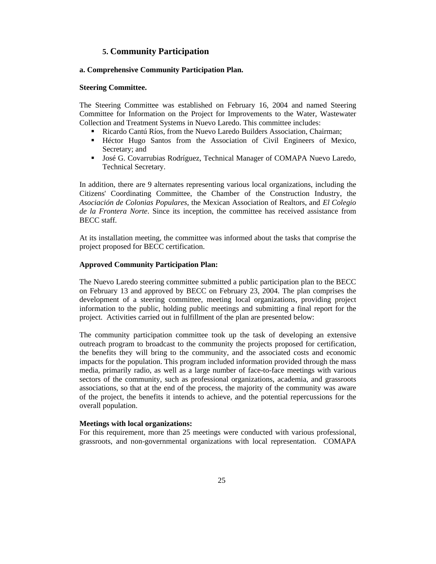# **5. Community Participation**

### **a. Comprehensive Community Participation Plan.**

### **Steering Committee.**

The Steering Committee was established on February 16, 2004 and named Steering Committee for Information on the Project for Improvements to the Water, Wastewater Collection and Treatment Systems in Nuevo Laredo. This committee includes:

- **Exercise Ricardo Cantú Ríos, from the Nuevo Laredo Builders Association, Chairman;**
- ß Héctor Hugo Santos from the Association of Civil Engineers of Mexico, Secretary; and
- **José G. Covarrubias Rodríguez, Technical Manager of COMAPA Nuevo Laredo,** Technical Secretary.

In addition, there are 9 alternates representing various local organizations, including the Citizens' Coordinating Committee, the Chamber of the Construction Industry, the *Asociación de Colonias Populares*, the Mexican Association of Realtors, and *El Colegio de la Frontera Norte*. Since its inception, the committee has received assistance from BECC staff.

At its installation meeting, the committee was informed about the tasks that comprise the project proposed for BECC certification.

### **Approved Community Participation Plan:**

The Nuevo Laredo steering committee submitted a public participation plan to the BECC on February 13 and approved by BECC on February 23, 2004. The plan comprises the development of a steering committee, meeting local organizations, providing project information to the public, holding public meetings and submitting a final report for the project. Activities carried out in fulfillment of the plan are presented below:

The community participation committee took up the task of developing an extensive outreach program to broadcast to the community the projects proposed for certification, the benefits they will bring to the community, and the associated costs and economic impacts for the population. This program included information provided through the mass media, primarily radio, as well as a large number of face-to-face meetings with various sectors of the community, such as professional organizations, academia, and grassroots associations, so that at the end of the process, the majority of the community was aware of the project, the benefits it intends to achieve, and the potential repercussions for the overall population.

### **Meetings with local organizations:**

For this requirement, more than 25 meetings were conducted with various professional, grassroots, and non-governmental organizations with local representation. COMAPA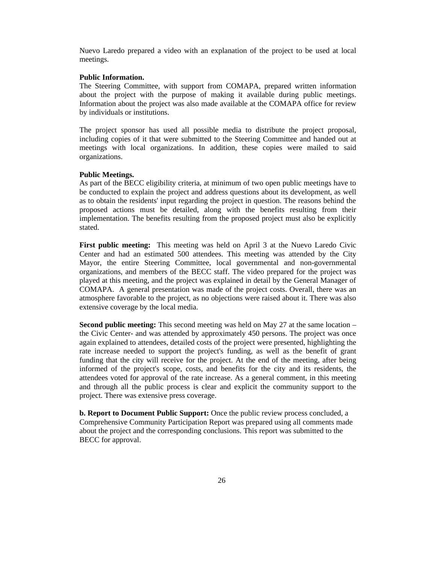Nuevo Laredo prepared a video with an explanation of the project to be used at local meetings.

#### **Public Information.**

The Steering Committee, with support from COMAPA, prepared written information about the project with the purpose of making it available during public meetings. Information about the project was also made available at the COMAPA office for review by individuals or institutions.

The project sponsor has used all possible media to distribute the project proposal, including copies of it that were submitted to the Steering Committee and handed out at meetings with local organizations. In addition, these copies were mailed to said organizations.

#### **Public Meetings.**

As part of the BECC eligibility criteria, at minimum of two open public meetings have to be conducted to explain the project and address questions about its development, as well as to obtain the residents' input regarding the project in question. The reasons behind the proposed actions must be detailed, along with the benefits resulting from their implementation. The benefits resulting from the proposed project must also be explicitly stated.

**First public meeting:** This meeting was held on April 3 at the Nuevo Laredo Civic Center and had an estimated 500 attendees. This meeting was attended by the City Mayor, the entire Steering Committee, local governmental and non-governmental organizations, and members of the BECC staff. The video prepared for the project was played at this meeting, and the project was explained in detail by the General Manager of COMAPA. A general presentation was made of the project costs. Overall, there was an atmosphere favorable to the project, as no objections were raised about it. There was also extensive coverage by the local media.

**Second public meeting:** This second meeting was held on May 27 at the same location – the Civic Center- and was attended by approximately 450 persons. The project was once again explained to attendees, detailed costs of the project were presented, highlighting the rate increase needed to support the project's funding, as well as the benefit of grant funding that the city will receive for the project. At the end of the meeting, after being informed of the project's scope, costs, and benefits for the city and its residents, the attendees voted for approval of the rate increase. As a general comment, in this meeting and through all the public process is clear and explicit the community support to the project. There was extensive press coverage.

**b. Report to Document Public Support:** Once the public review process concluded, a Comprehensive Community Participation Report was prepared using all comments made about the project and the corresponding conclusions. This report was submitted to the BECC for approval.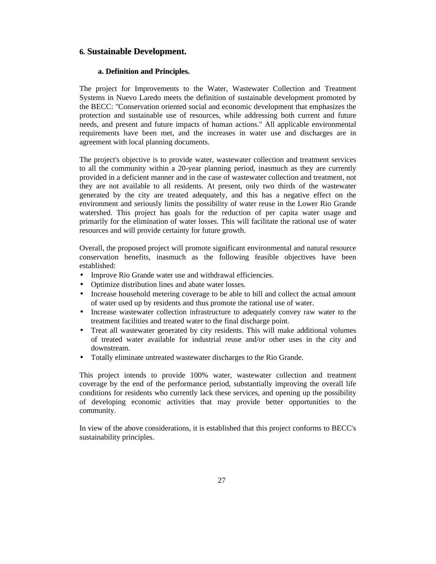# **6. Sustainable Development.**

### **a. Definition and Principles.**

The project for Improvements to the Water, Wastewater Collection and Treatment Systems in Nuevo Laredo meets the definition of sustainable development promoted by the BECC: "Conservation oriented social and economic development that emphasizes the protection and sustainable use of resources, while addressing both current and future needs, and present and future impacts of human actions." All applicable environmental requirements have been met, and the increases in water use and discharges are in agreement with local planning documents.

The project's objective is to provide water, wastewater collection and treatment services to all the community within a 20-year planning period, inasmuch as they are currently provided in a deficient manner and in the case of wastewater collection and treatment, not they are not available to all residents. At present, only two thirds of the wastewater generated by the city are treated adequately, and this has a negative effect on the environment and seriously limits the possibility of water reuse in the Lower Rio Grande watershed. This project has goals for the reduction of per capita water usage and primarily for the elimination of water losses. This will facilitate the rational use of water resources and will provide certainty for future growth.

Overall, the proposed project will promote significant environmental and natural resource conservation benefits, inasmuch as the following feasible objectives have been established:

- Improve Rio Grande water use and withdrawal efficiencies.
- Optimize distribution lines and abate water losses.
- Increase household metering coverage to be able to bill and collect the actual amount of water used up by residents and thus promote the rational use of water.
- Increase wastewater collection infrastructure to adequately convey raw water to the treatment facilities and treated water to the final discharge point.
- Treat all wastewater generated by city residents. This will make additional volumes of treated water available for industrial reuse and/or other uses in the city and downstream.
- Totally eliminate untreated wastewater discharges to the Rio Grande.

This project intends to provide 100% water, wastewater collection and treatment coverage by the end of the performance period, substantially improving the overall life conditions for residents who currently lack these services, and opening up the possibility of developing economic activities that may provide better opportunities to the community.

In view of the above considerations, it is established that this project conforms to BECC's sustainability principles.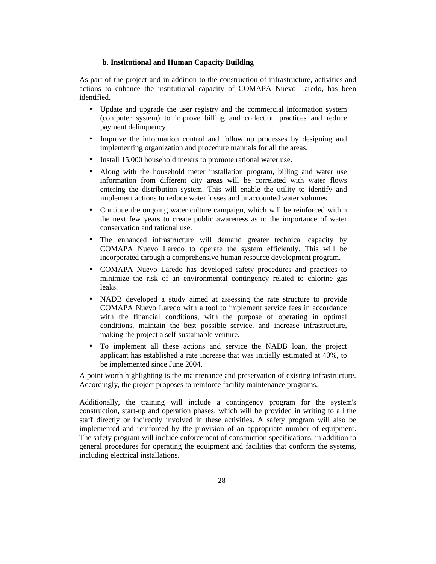### **b. Institutional and Human Capacity Building**

As part of the project and in addition to the construction of infrastructure, activities and actions to enhance the institutional capacity of COMAPA Nuevo Laredo, has been identified.

- Update and upgrade the user registry and the commercial information system (computer system) to improve billing and collection practices and reduce payment delinquency.
- Improve the information control and follow up processes by designing and implementing organization and procedure manuals for all the areas.
- Install 15,000 household meters to promote rational water use.
- Along with the household meter installation program, billing and water use information from different city areas will be correlated with water flows entering the distribution system. This will enable the utility to identify and implement actions to reduce water losses and unaccounted water volumes.
- Continue the ongoing water culture campaign, which will be reinforced within the next few years to create public awareness as to the importance of water conservation and rational use.
- The enhanced infrastructure will demand greater technical capacity by COMAPA Nuevo Laredo to operate the system efficiently. This will be incorporated through a comprehensive human resource development program.
- COMAPA Nuevo Laredo has developed safety procedures and practices to minimize the risk of an environmental contingency related to chlorine gas leaks.
- NADB developed a study aimed at assessing the rate structure to provide COMAPA Nuevo Laredo with a tool to implement service fees in accordance with the financial conditions, with the purpose of operating in optimal conditions, maintain the best possible service, and increase infrastructure, making the project a self-sustainable venture.
- To implement all these actions and service the NADB loan, the project applicant has established a rate increase that was initially estimated at 40%, to be implemented since June 2004.

A point worth highlighting is the maintenance and preservation of existing infrastructure. Accordingly, the project proposes to reinforce facility maintenance programs.

Additionally, the training will include a contingency program for the system's construction, start-up and operation phases, which will be provided in writing to all the staff directly or indirectly involved in these activities. A safety program will also be implemented and reinforced by the provision of an appropriate number of equipment. The safety program will include enforcement of construction specifications, in addition to general procedures for operating the equipment and facilities that conform the systems, including electrical installations.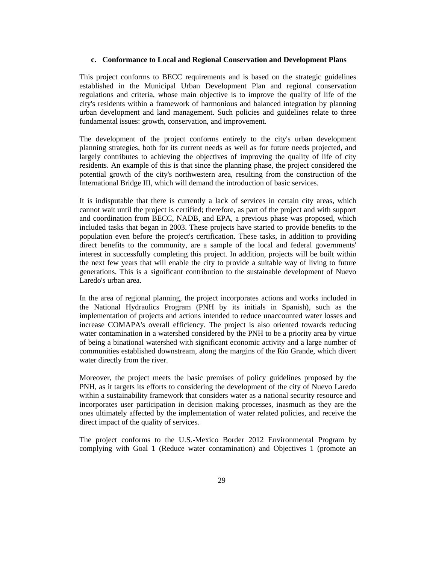### **c. Conformance to Local and Regional Conservation and Development Plans**

This project conforms to BECC requirements and is based on the strategic guidelines established in the Municipal Urban Development Plan and regional conservation regulations and criteria, whose main objective is to improve the quality of life of the city's residents within a framework of harmonious and balanced integration by planning urban development and land management. Such policies and guidelines relate to three fundamental issues: growth, conservation, and improvement.

The development of the project conforms entirely to the city's urban development planning strategies, both for its current needs as well as for future needs projected, and largely contributes to achieving the objectives of improving the quality of life of city residents. An example of this is that since the planning phase, the project considered the potential growth of the city's northwestern area, resulting from the construction of the International Bridge III, which will demand the introduction of basic services.

It is indisputable that there is currently a lack of services in certain city areas, which cannot wait until the project is certified; therefore, as part of the project and with support and coordination from BECC, NADB, and EPA, a previous phase was proposed, which included tasks that began in 2003. These projects have started to provide benefits to the population even before the project's certification. These tasks, in addition to providing direct benefits to the community, are a sample of the local and federal governments' interest in successfully completing this project. In addition, projects will be built within the next few years that will enable the city to provide a suitable way of living to future generations. This is a significant contribution to the sustainable development of Nuevo Laredo's urban area.

In the area of regional planning, the project incorporates actions and works included in the National Hydraulics Program (PNH by its initials in Spanish), such as the implementation of projects and actions intended to reduce unaccounted water losses and increase COMAPA's overall efficiency. The project is also oriented towards reducing water contamination in a watershed considered by the PNH to be a priority area by virtue of being a binational watershed with significant economic activity and a large number of communities established downstream, along the margins of the Rio Grande, which divert water directly from the river.

Moreover, the project meets the basic premises of policy guidelines proposed by the PNH, as it targets its efforts to considering the development of the city of Nuevo Laredo within a sustainability framework that considers water as a national security resource and incorporates user participation in decision making processes, inasmuch as they are the ones ultimately affected by the implementation of water related policies, and receive the direct impact of the quality of services.

The project conforms to the U.S.-Mexico Border 2012 Environmental Program by complying with Goal 1 (Reduce water contamination) and Objectives 1 (promote an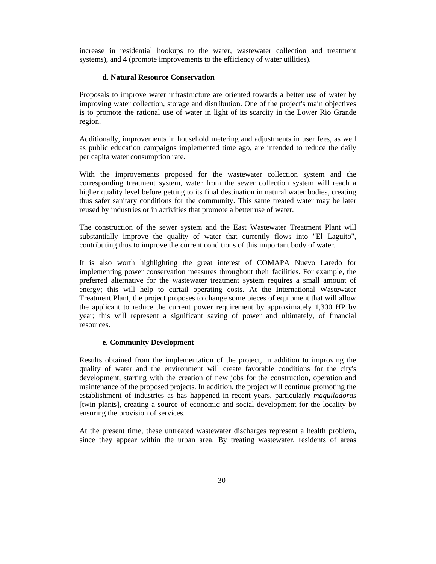increase in residential hookups to the water, wastewater collection and treatment systems), and 4 (promote improvements to the efficiency of water utilities).

### **d. Natural Resource Conservation**

Proposals to improve water infrastructure are oriented towards a better use of water by improving water collection, storage and distribution. One of the project's main objectives is to promote the rational use of water in light of its scarcity in the Lower Rio Grande region.

Additionally, improvements in household metering and adjustments in user fees, as well as public education campaigns implemented time ago, are intended to reduce the daily per capita water consumption rate.

With the improvements proposed for the wastewater collection system and the corresponding treatment system, water from the sewer collection system will reach a higher quality level before getting to its final destination in natural water bodies, creating thus safer sanitary conditions for the community. This same treated water may be later reused by industries or in activities that promote a better use of water.

The construction of the sewer system and the East Wastewater Treatment Plant will substantially improve the quality of water that currently flows into "El Laguito", contributing thus to improve the current conditions of this important body of water.

It is also worth highlighting the great interest of COMAPA Nuevo Laredo for implementing power conservation measures throughout their facilities. For example, the preferred alternative for the wastewater treatment system requires a small amount of energy; this will help to curtail operating costs. At the International Wastewater Treatment Plant, the project proposes to change some pieces of equipment that will allow the applicant to reduce the current power requirement by approximately 1,300 HP by year; this will represent a significant saving of power and ultimately, of financial resources.

### **e. Community Development**

Results obtained from the implementation of the project, in addition to improving the quality of water and the environment will create favorable conditions for the city's development, starting with the creation of new jobs for the construction, operation and maintenance of the proposed projects. In addition, the project will continue promoting the establishment of industries as has happened in recent years, particularly *maquiladoras* [twin plants], creating a source of economic and social development for the locality by ensuring the provision of services.

At the present time, these untreated wastewater discharges represent a health problem, since they appear within the urban area. By treating wastewater, residents of areas